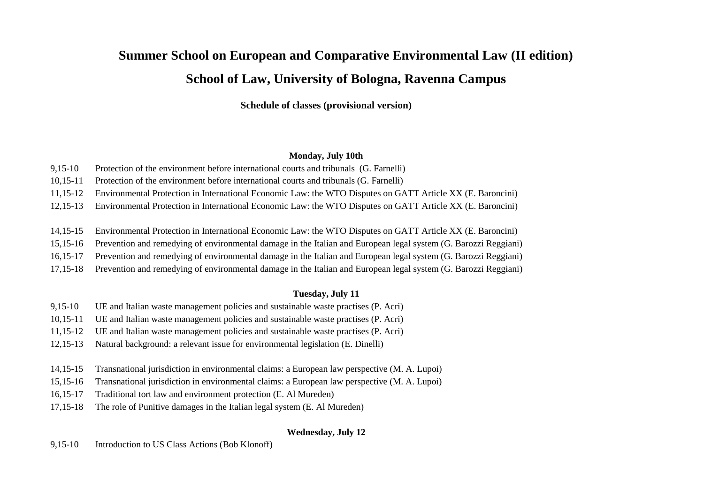# **Summer School on European and Comparative Environmental Law (II edition) School of Law, University of Bologna, Ravenna Campus**

**Schedule of classes (provisional version)**

### **Monday, July 10th**

- 9,15-10 Protection of the environment before international courts and tribunals (G. Farnelli)
- 10,15-11 Protection of the environment before international courts and tribunals (G. Farnelli)
- 11,15-12 Environmental Protection in International Economic Law: the WTO Disputes on GATT Article XX (E. Baroncini)
- 12,15-13 Environmental Protection in International Economic Law: the WTO Disputes on GATT Article XX (E. Baroncini)
- 14,15-15 Environmental Protection in International Economic Law: the WTO Disputes on GATT Article XX (E. Baroncini)
- 15,15-16 Prevention and remedying of environmental damage in the Italian and European legal system (G. Barozzi Reggiani)
- 16,15-17 Prevention and remedying of environmental damage in the Italian and European legal system (G. Barozzi Reggiani)
- 17,15-18 Prevention and remedying of environmental damage in the Italian and European legal system (G. Barozzi Reggiani)

# **Tuesday, July 11**

- 9,15-10 UE and Italian waste management policies and sustainable waste practises (P. Acri)
- 10,15-11 UE and Italian waste management policies and sustainable waste practises (P. Acri)
- 11,15-12 UE and Italian waste management policies and sustainable waste practises (P. Acri)
- 12,15-13 Natural background: a relevant issue for environmental legislation (E. Dinelli)
- 14,15-15 Transnational jurisdiction in environmental claims: a European law perspective (M. A. Lupoi)
- 15,15-16 Transnational jurisdiction in environmental claims: a European law perspective (M. A. Lupoi)
- 16,15-17 Traditional tort law and environment protection (E. Al Mureden)
- 17,15-18 The role of Punitive damages in the Italian legal system (E. Al Mureden)

# **Wednesday, July 12**

9,15-10 Introduction to US Class Actions (Bob Klonoff)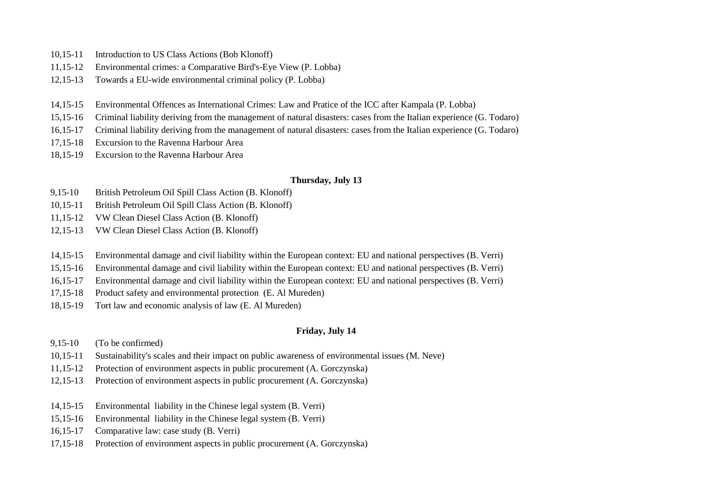- 10,15-11 Introduction to US Class Actions (Bob Klonoff)
- 11,15-12 Environmental crimes: a Comparative Bird's-Eye View (P. Lobba)
- 12,15-13 Towards a EU-wide environmental criminal policy (P. Lobba)
- 14,15-15 Environmental Offences as International Crimes: Law and Pratice of the ICC after Kampala (P. Lobba)
- 15,15-16 Criminal liability deriving from the management of natural disasters: cases from the Italian experience (G. Todaro)
- 16,15-17 Criminal liability deriving from the management of natural disasters: cases from the Italian experience (G. Todaro)
- 17,15-18 Excursion to the Ravenna Harbour Area
- 18,15-19 Excursion to the Ravenna Harbour Area

#### **Thursday, July 13**

- 9,15-10 British Petroleum Oil Spill Class Action (B. Klonoff)
- 10,15-11 British Petroleum Oil Spill Class Action (B. Klonoff)
- 11,15-12 VW Clean Diesel Class Action (B. Klonoff)
- 12,15-13 VW Clean Diesel Class Action (B. Klonoff)
- 14,15-15 Environmental damage and civil liability within the European context: EU and national perspectives (B. Verri)
- 15,15-16 Environmental damage and civil liability within the European context: EU and national perspectives (B. Verri)
- 16,15-17 Environmental damage and civil liability within the European context: EU and national perspectives (B. Verri)
- 17,15-18 Product safety and environmental protection (E. Al Mureden)
- 18,15-19 Tort law and economic analysis of law (E. Al Mureden)

## **Friday, July 14**

- 9,15-10 (To be confirmed)
- 10,15-11 Sustainability's scales and their impact on public awareness of environmental issues (M. Neve)
- 11,15-12 Protection of environment aspects in public procurement (A. Gorczynska)
- 12,15-13 Protection of environment aspects in public procurement (A. Gorczynska)
- 14,15-15 Environmental liability in the Chinese legal system (B. Verri)
- 15,15-16 Environmental liability in the Chinese legal system (B. Verri)
- 16,15-17 Comparative law: case study (B. Verri)
- 17,15-18 Protection of environment aspects in public procurement (A. Gorczynska)